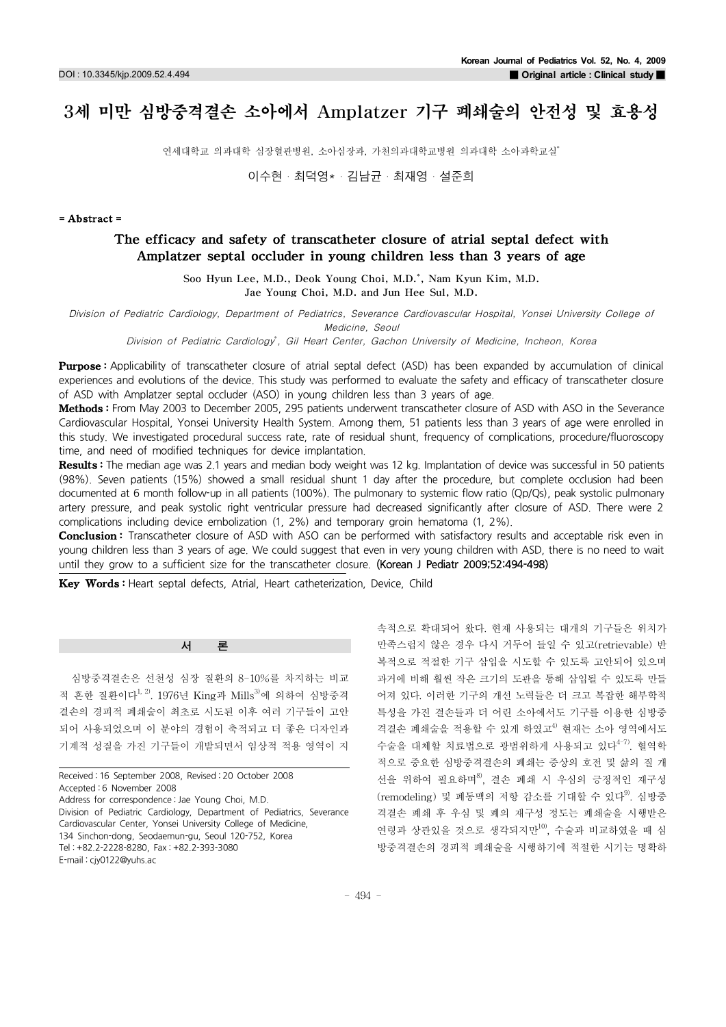# 3세 미만 심방중격결손 소아에서 Amplatzer 기구 폐쇄술의 안전성 및 효용성 1)jtj

연세대학교 의과대학 심장혈관병원, 소아심장과, 가천의과대학교병원 의과대학 소아과학교실

이수현・최덕영\*・김남균・최재영・설준희

#### =Abstract=

# The efficacy and safety of transcatheter closure of atrial septal defect with Amplatzer septal occluder in young children less than 3 years of age

Soo Hyun Lee, M.D., Deok Young Choi, M.D. \* , Nam Kyun Kim, M.D. Jae Young Choi, M.D. and Jun Hee Sul, M.D.

Division of Pediatric Cardiology, Department of Pediatrics, Severance Cardiovascular Hospital, Yonsei University College of

Medicine, Seoul

Division of Pediatric Cardiology<sup>\*</sup>, Gil Heart Center, Gachon University of Medicine, Incheon, Korea

Purpose: Applicability of transcatheter closure of atrial septal defect (ASD) has been expanded by accumulation of clinical experiences and evolutions of the device. This study was performed to evaluate the safety and efficacy of transcatheter closure of ASD with Amplatzer septal occluder (ASO) in young children less than 3 years of age.

Methods: From May 2003 to December 2005, 295 patients underwent transcatheter closure of ASD with ASO in the Severance Cardiovascular Hospital, Yonsei University Health System. Among them, 51 patients less than 3 years of age were enrolled in this study. We investigated procedural success rate, rate of residual shunt, frequency of complications, procedure/fluoroscopy time, and need of modified techniques for device implantation.

Results: The median age was 2.1 years and median body weight was 12 kg. Implantation of device was successful in 50 patients (98%). Seven patients (15%) showed a small residual shunt 1 day after the procedure, but complete occlusion had been documented at 6 month follow-up in all patients (100%). The pulmonary to systemic flow ratio (Qp/Qs), peak systolic pulmonary artery pressure, and peak systolic right ventricular pressure had decreased significantly after closure of ASD. There were 2 complications including device embolization (1, 2%) and temporary groin hematoma (1, 2%).

**Conclusion:** Transcatheter closure of ASD with ASO can be performed with satisfactory results and acceptable risk even in young children less than 3 years of age. We could suggest that even in very young children with ASD, there is no need to wait until they grow to a sufficient size for the transcatheter closure. (Korean J Pediatr 2009;52:494-498)

Key Words: Heart septal defects, Atrial, Heart catheterization, Device, Child

서 론

심방중격결손은 선천성 심장 질환의 8-10%를 차지하는 비교 적 흔한 질환이다<sup>1, 2)</sup>. 1976년 King과 Mills<sup>3)</sup>에 의하여 심방중격 결손의 경피적 폐쇄술이 최초로 시도된 이후 여러 기구들이 고안 되어 사용되었으며 이 분야의 경험이 축적되고 더 좋은 디자인과 기계적 성질을 가진 기구들이 개발되면서 임상적 적용 영역이 지

Received : 16 September 2008, Revised : 20 October 2008 Accepted : 6 November 2008 Address for correspondence : Jae Young Choi, M.D. Division of Pediatric Cardiology, Department of Pediatrics, Severance Cardiovascular Center, Yonsei University College of Medicine, 134 Sinchon-dong, Seodaemun-gu, Seoul 120-752, Korea Tel : +82.2-2228-8280, Fax : +82.2-393-3080 E-mail : cjy0122@yuhs.ac

속적으로 확대되어 왔다.현재 사용되는 대개의 기구들은 위치가 만족스럽지 않은 경우 다시 거두어 들일 수 있고(retrievable) 반 복적으로 적절한 기구 삽입을 시도할 수 있도록 고안되어 있으며 과거에 비해 훨씬 작은 크기의 도관을 통해 삽입될 수 있도록 만들 어져 있다.이러한 기구의 개선 노력들은 더 크고 복잡한 해부학적 특성을 가진 결손들과 더 어린 소아에서도 기구를 이용한 심방중 격결손 폐쇄술을 적용할 수 있게 하였고<sup>4)</sup> 현재는 소아 영역에서도 수술을 대체할 치료법으로 광범위하게 사용되고 있다 4-7).혈역학 적으로 중요한 심방중격결손의 폐쇄는 증상의 호전 및 삶의 질 개 선을 위하여 필요하며 8),결손 폐쇄 시 우심의 긍정적인 재구성 (remodeling) 및 폐동맥의 저항 감소를 기대할 수 있다<sup>9)</sup>. 심방중 격결손 폐쇄 후 우심 및 폐의 재구성 정도는 폐쇄술을 시행받은 연령과 상관있을 것으로 생각되지만10),수술과 비교하였을 때 심 방중격결손의 경피적 폐쇄술을 시행하기에 적절한 시기는 명확하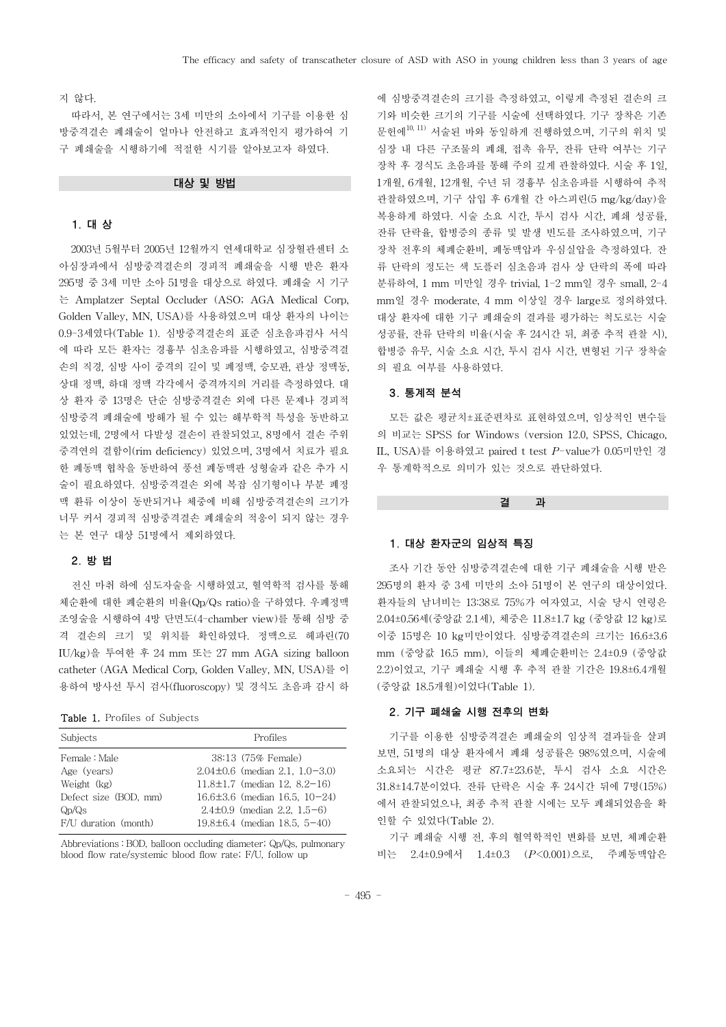#### 지 않다.

따라서,본 연구에서는 3세 미만의 소아에서 기구를 이용한 심 방중격결손 폐쇄술이 얼마나 안전하고 효과적인지 평가하여 기 구 폐쇄술을 시행하기에 적절한 시기를 알아보고자 하였다.

## 대상 및 방법

#### 1.대 상

2003년 5월부터 2005년 12월까지 연세대학교 심장혈관센터 소 아심장과에서 심방중격결손의 경피적 폐쇄술을 시행 받은 환자 295명 중 3세 미만 소아 51명을 대상으로 하였다.폐쇄술 시 기구 는 Amplatzer Septal Occluder (ASO; AGA Medical Corp, Golden Valley, MN, USA)를 사용하였으며 대상 환자의 나이는 0.9-3세였다(Table1).심방중격결손의 표준 심초음파검사 서식 에 따라 모든 환자는 경흉부 심초음파를 시행하였고,심방중격결 손의 직경,심방 사이 중격의 길이 및 폐정맥,승모판,관상 정맥동, 상대 정맥, 하대 정맥 각각에서 중격까지의 거리를 측정하였다. 대 상 환자 중 13명은 단순 심방중격결손 외에 다른 문제나 경피적 심방중격 폐쇄술에 방해가 될 수 있는 해부학적 특성을 동반하고 있었는데,2명에서 다발성 결손이 관찰되었고,8명에서 결손 주위 중격연의 결함이(rim deficiency)있었으며,3명에서 치료가 필요 한 폐동맥 협착을 동반하여 풍선 폐동맥판 성형술과 같은 추가 시 술이 필요하였다.심방중격결손 외에 복잡 심기형이나 부분 폐정 맥 환류 이상이 동반되거나 체중에 비해 심방중격결손의 크기가 너무 커서 경피적 심방중격결손 폐쇄술의 적응이 되지 않는 경우 는 본 연구 대상 51명에서 제외하였다.

## 2.방 법

전신 마취 하에 심도자술을 시행하였고,혈역학적 검사를 통해 체순환에 대한 폐순환의 비율(Qp/Qs ratio)을 구하였다. 우폐정맥 조영술을 시행하여 4방 단면도(4-chamber view)를 통해 심방 중 격 결손의 크기 및 위치를 확인하였다. 정맥으로 헤파린(70 IU/kg)을 투여한 후 24mm 또는 27mm AGA sizingballoon catheter (AGA Medical Corp, Golden Valley, MN, USA)를 이 용하여 방사선 투시 검사(fluoroscopy)및 경식도 초음파 감시 하

#### Table 1. Profiles of Subjects

| Subjects              | Profiles                            |  |  |
|-----------------------|-------------------------------------|--|--|
| Female : Male         | 38:13 (75% Female)                  |  |  |
| Age (years)           | $2.04\pm0.6$ (median 2.1, 1.0-3.0)  |  |  |
| Weight (kg)           | $11.8 \pm 1.7$ (median 12, 8.2-16)  |  |  |
| Defect size (BOD, mm) | $16.6 \pm 3.6$ (median 16.5, 10-24) |  |  |
| $Q_D/Q_S$             | $2.4\pm0.9$ (median 2.2, 1.5-6)     |  |  |
| F/U duration (month)  | $19.8 \pm 6.4$ (median 18.5, 5-40)  |  |  |

Abbreviations : BOD, balloon occluding diameter; Qp/Qs, pulmonary blood flow rate/systemic blood flow rate; F/U, follow up

에 심방중격결손의 크기를 측정하였고,이렇게 측정된 결손의 크 기와 비슷한 크기의 기구를 시술에 선택하였다. 기구 장착은 기존 문헌에<sup>10, 11)</sup>서술된 바와 동일하게 진행하였으며, 기구의 위치 및 심장 내 다른 구조물의 폐쇄, 접촉 유무, 잔류 단락 여부는 기구 장착 후 경식도 초음파를 통해 주의 깊게 관찰하였다.시술 후 1일, 1개월,6개월,12개월,수년 뒤 경흉부 심초음파를 시행하여 추적 관찰하였으며,기구 삽입 후 6개월 간 아스피린(5mg/kg/day)을 복용하게 하였다. 시술 소요 시간, 투시 검사 시간, 폐쇄 성공률, 잔류 단락율,합병증의 종류 및 발생 빈도를 조사하였으며,기구 장착 전후의 체폐순환비, 폐동맥압과 우심실압을 측정하였다. 잔 류 단락의 정도는 색 도플러 심초음파 검사 상 단락의 폭에 따라 분류하여,1mm 미만일 경우 trivial,1-2mm일 경우 small,2-4 mm일 경우 moderate,4mm 이상일 경우 large로 정의하였다. 대상 환자에 대한 기구 폐쇄술의 결과를 평가하는 척도로는 시술 성공률, 잔류 단락의 비율(시술 후 24시간 뒤, 최종 추적 관찰 시), 합병증 유무,시술 소요 시간,투시 검사 시간,변형된 기구 장착술 의 필요 여부를 사용하였다.

#### 3.통계적 분석

모든 값은 평균치±표준편차로 표현하였으며,임상적인 변수들 의 비교는 SPSS for Windows (version 12.0, SPSS, Chicago, IL, USA)를 이용하였고 paired t test P-value가 0.05미만인 경 우 통계학적으로 의미가 있는 것으로 판단하였다.

#### 결 과

#### 1.대상 환자군의 임상적 특징

조사 기간 동안 심방중격결손에 대한 기구 폐쇄술을 시행 받은 295명의 환자 중 3세 미만의 소아 51명이 본 연구의 대상이었다. 환자들의 남녀비는 13:38로 75%가 여자였고, 시술 당시 연령은 2.04±0.56세(중앙값 2.1세), 체중은 11.8±1.7 kg (중앙값 12 kg)로 이중 15명은 10kg미만이었다.심방중격결손의 크기는 16.6±3.6 mm (중앙값 16.5 mm), 이들의 체폐순환비는 2.4±0.9 (중앙값 2.2)이었고,기구 폐쇄술 시행 후 추적 관찰 기간은 19.8±6.4개월 (중앙값 18.5개월)이었다(Table1).

#### 2.기구 폐쇄술 시행 전후의 변화

기구를 이용한 심방중격결손 폐쇄술의 임상적 결과들을 살펴 보면,51명의 대상 환자에서 폐쇄 성공률은 98%였으며,시술에 소요되는 시간은 평균 87.7±23.6분,투시 검사 소요 시간은 31.8±14.7분이었다.잔류 단락은 시술 후 24시간 뒤에 7명(15%) 에서 관찰되었으나,최종 추적 관찰 시에는 모두 폐쇄되었음을 확 인할 수 있었다(Table 2).

기구 폐쇄술 시행 전,후의 혈역학적인 변화를 보면,체폐순환 비는 2.4±0.9에서 1.4±0.3 (*P*<0.001)으로, 주폐동맥압은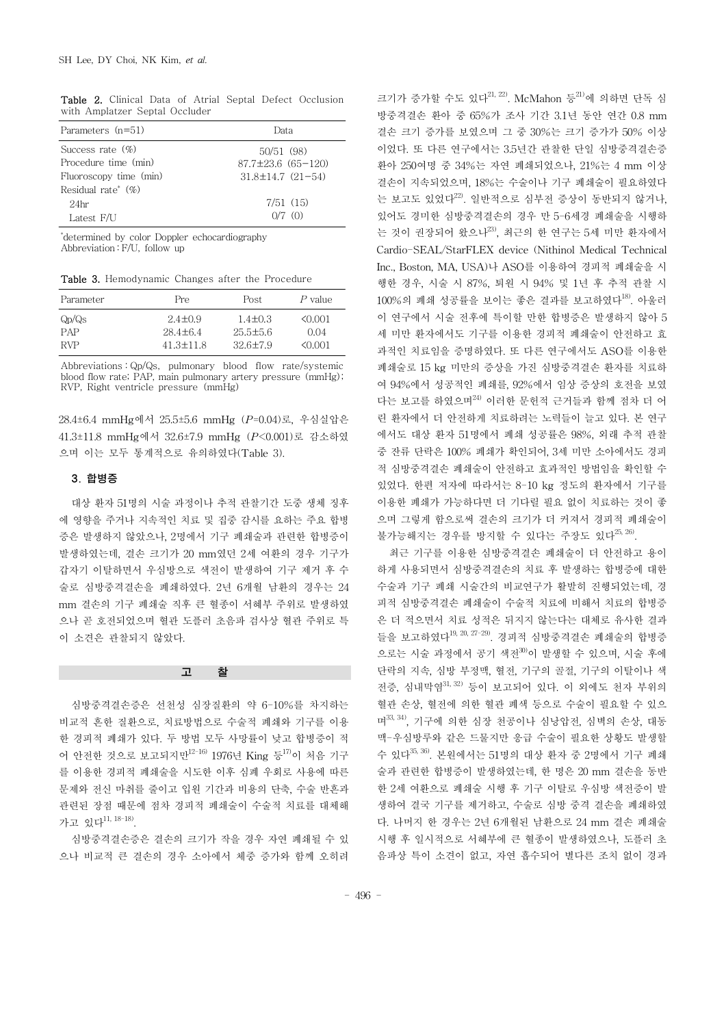| Parameters (n=51)                 | Data                         |  |
|-----------------------------------|------------------------------|--|
| Success rate $(\% )$              | 50/51(98)                    |  |
| Procedure time (min)              | $87.7 \pm 23.6$ $(65 - 120)$ |  |
| Fluoroscopy time (min)            | $31.8 \pm 14.7$ $(21 - 54)$  |  |
| Residual rate <sup>*</sup> $(\%)$ |                              |  |
| 24hr                              | 7/51(15)                     |  |
| Latest F/U                        | $0/7$ (0)                    |  |

Table 2. Clinical Data of Atrial Septal Defect Occlusion with Amplatzer Septal Occluder

\* determined by color Doppler echocardiography Abbreviation: F/U, follow up

Table 3. Hemodynamic Changes after the Procedure

| Parameter                      | Pre           | Post           | P value |
|--------------------------------|---------------|----------------|---------|
| Q <sub>D</sub> /Q <sub>S</sub> | $2.4 + 0.9$   | $1.4 + 0.3$    | 50.001  |
| PAP                            | $28.4 + 6.4$  | $25.5 \pm 5.6$ | 0.04    |
| RVP                            | $41.3 + 11.8$ | $32.6 \pm 7.9$ | 0001    |

Abbreviations : Qp/Qs, pulmonary blood flow rate/systemic blood flow rate; PAP, main pulmonary artery pressure (mmHg); RVP, Right ventricle pressure (mmHg)

28.4±6.4mmHg에서 25.5±5.6mmHg(*P*=0.04)로,우심실압은 41.3±11.8mmHg에서 32.6±7.9mmHg(*P*<0.001)로 감소하였 으며 이는 모두 통계적으로 유의하였다(Table 3).

## 3.합병증

대상 환자 51명의 시술 과정이나 추적 관찰기간 도중 생체 징후 에 영향을 주거나 지속적인 치료 및 집중 감시를 요하는 주요 합병 증은 발생하지 않았으나,2명에서 기구 폐쇄술과 관련한 합병증이 발생하였는데,결손 크기가 20mm였던 2세 여환의 경우 기구가 갑자기 이탈하면서 우심방으로 색전이 발생하여 기구 제거 후 수 술로 심방중격결손을 폐쇄하였다.2년 6개월 남환의 경우는 24 mm 결손의 기구 폐쇄술 직후 큰 혈종이 서혜부 주위로 발생하였 으나 곧 호전되었으며 혈관 도플러 초음파 검사상 혈관 주위로 특 이 소견은 관찰되지 않았다.

## 고 찰

심방중격결손증은 선천성 심장질환의 약 6-10%를 차지하는 비교적 흔한 질환으로,치료방법으로 수술적 폐쇄와 기구를 이용 한 경피적 폐쇄가 있다. 두 방법 모두 사망률이 낮고 합병증이 적 어 안전한 것으로 보고되지만<sup>12-16)</sup> 1976년 King 등<sup>17)</sup>이 처음 기구 를 이용한 경피적 폐쇄술을 시도한 이후 심폐 우회로 사용에 따른 문제와 전신 마취를 줄이고 입원 기간과 비용의 단축,수술 반흔과 관련된 장점 때문에 점차 경피적 폐쇄술이 수술적 치료를 대체해 가고 있다<sup>11, 18-18)</sup>.

심방중격결손증은 결손의 크기가 작을 경우 자연 폐쇄될 수 있 으나 비교적 큰 결손의 경우 소아에서 체중 증가와 함께 오히려

크기가 증가할 수도 있다<sup>21, 22)</sup>. McMahon 등<sup>21)</sup>에 의하면 단독 심 방중격결손 환아 중 65%가 조사 기간 3.1년 동안 연간 0.8mm 결손 크기 증가를 보였으며 그 중 30%는 크기 증가가 50% 이상 이었다.또 다른 연구에서는 3.5년간 관찰한 단일 심방중격결손증 환아 250여명 중 34%는 자연 폐쇄되었으나, 21%는 4 mm 이상 결손이 지속되었으며,18%는 수술이나 기구 폐쇄술이 필요하였다 는 보고도 있었다 22).일반적으로 심부전 증상이 동반되지 않거나, 있어도 경미한 심방중격결손의 경우 만 5-6세경 폐쇄술을 시행하 는 것이 권장되어 왔으나<sup>23</sup>, 최근의 한 연구는 5세 미만 환자에서 Cardio-SEAL/StarFLEX device (Nithinol Medical Technical Inc.,Boston,MA,USA)나 ASO를 이용하여 경피적 폐쇄술을 시 행한 경우,시술 시 87%,퇴원 시 94% 및 1년 후 추적 관찰 시 100%의 폐쇄 성공률을 보이는 좋은 결과를 보고하였다 18).아울러 이 연구에서 시술 전후에 특이할 만한 합병증은 발생하지 않아 5 세 미만 환자에서도 기구를 이용한 경피적 폐쇄술이 안전하고 효 과적인 치료임을 증명하였다. 또 다른 연구에서도 ASO를 이용한 폐쇄술로 15 kg 미만의 증상을 가진 심방중격결손 환자를 치료하 여 94%에서 성공적인 폐쇄를,92%에서 임상 증상의 호전을 보였 다는 보고를 하였으며 24)이러한 문헌적 근거들과 함께 점차 더 어 린 환자에서 더 안전하게 치료하려는 노력들이 늘고 있다. 본 연구 에서도 대상 환자 51명에서 폐쇄 성공률은 98%, 외래 추적 관찰 중 잔류 단락은 100% 폐쇄가 확인되어,3세 미만 소아에서도 경피 적 심방중격결손 폐쇄술이 안전하고 효과적인 방법임을 확인할 수 있었다. 한편 저자에 따라서는 8-10 kg 정도의 환자에서 기구를 이용한 폐쇄가 가능하다면 더 기다릴 필요 없이 치료하는 것이 좋 으며 그렇게 함으로써 결손의 크기가 더 커져서 경피적 폐쇄술이 불가능해지는 경우를 방지할 수 있다는 주장도 있다<sup>25, 26)</sup>.

최근 기구를 이용한 심방중격결손 폐쇄술이 더 안전하고 용이 하게 사용되면서 심방중격결손의 치료 후 발생하는 합병증에 대한 수술과 기구 폐쇄 시술간의 비교연구가 활발히 진행되었는데, 경 피적 심방중격결손 폐쇄술이 수술적 치료에 비해서 치료의 합병증 은 더 적으면서 치료 성적은 뒤지지 않는다는 대체로 유사한 결과 들을 보고하였다<sup>19, 20, 27-29)</sup>. 경피적 심방중격결손 폐쇄술의 합병증 으로는 시술 과정에서 공기 색전<sup>30)</sup>이 발생할 수 있으며, 시술 후에 단락의 지속,심방 부정맥,혈전,기구의 골절,기구의 이탈이나 색 전증,심내막염 31,32)등이 보고되어 있다.이 외에도 천자 부위의 혈관 손상,혈전에 의한 혈관 폐색 등으로 수술이 필요할 수 있으 며33, 34), 기구에 의한 심장 천공이나 심낭압전, 심벽의 손상, 대동 맥-우심방루와 같은 드물지만 응급 수술이 필요한 상황도 발생할 수 있다 35,36).본원에서는 51명의 대상 환자 중 2명에서 기구 폐쇄 술과 관련한 합병증이 발생하였는데, 한 명은 20 mm 결손을 동반 한 2세 여환으로 폐쇄술 시행 후 기구 이탈로 우심방 색전증이 발 생하여 결국 기구를 제거하고,수술로 심방 중격 결손을 폐쇄하였 다.나머지 한 경우는 2년 6개월된 남환으로 24mm 결손 폐쇄술 시행 후 일시적으로 서혜부에 큰 혈종이 발생하였으나,도플러 초 음파상 특이 소견이 없고,자연 흡수되어 별다른 조치 없이 경과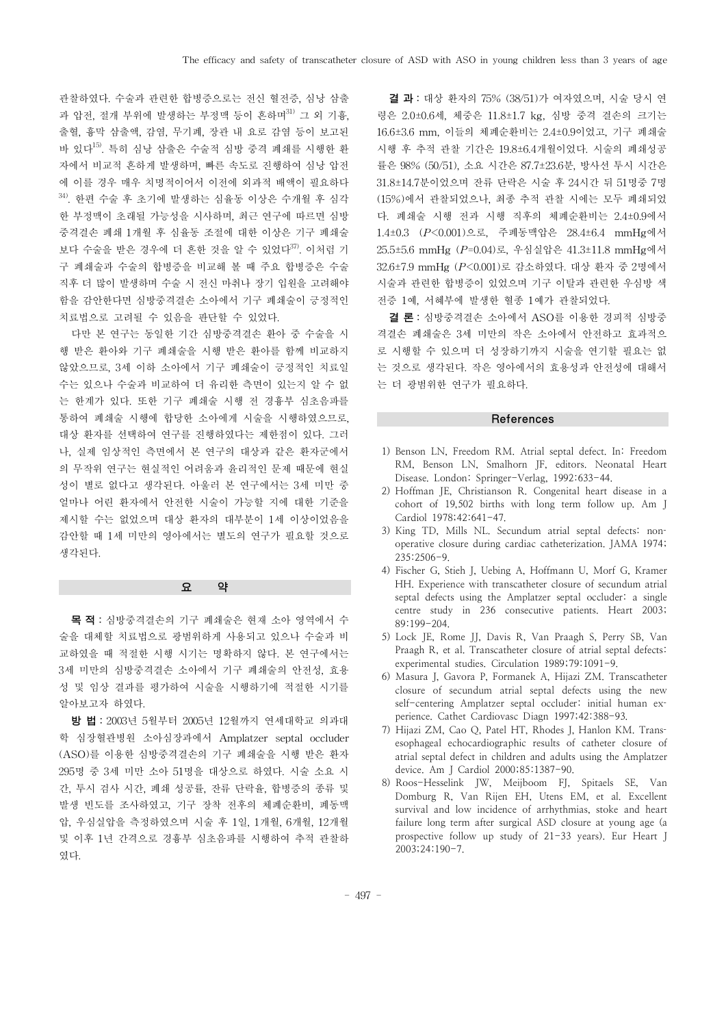관찰하였다. 수술과 관련한 합병증으로는 전신 혈전증, 심낭 삼출 과 압전, 절개 부위에 발생하는 부정맥 등이 흔하며<sup>31)</sup> 그 외 기흉, 출혈,흉막 삼출액,감염,무기폐,장관 내 요로 감염 등이 보고된 바 있다 15).특히 심낭 삼출은 수술적 심방 중격 폐쇄를 시행한 환 자에서 비교적 흔하게 발생하며,빠른 속도로 진행하여 심낭 압전 에 이를 경우 매우 치명적이어서 이전에 외과적 배액이 필요하다  $34$ . 한편 수술 후 초기에 발생하는 심율동 이상은 수개월 후 심각 한 부정맥이 초래될 가능성을 시사하며, 최근 연구에 따르면 심방 중격결손 폐쇄 1개월 후 심율동 조절에 대한 이상은 기구 폐쇄술 보다 수술을 받은 경우에 더 흔한 것을 알 수 있었다 37).이처럼 기 구 폐쇄술과 수술의 합병증을 비교해 볼 때 주요 합병증은 수술 직후 더 많이 발생하며 수술 시 전신 마취나 장기 입원을 고려해야 함을 감안한다면 심방중격결손 소아에서 기구 폐쇄술이 긍정적인 치료법으로 고려될 수 있음을 판단할 수 있었다.

다만 본 연구는 동일한 기간 심방중격결손 환아 중 수술을 시 행 받은 환아와 기구 폐쇄술을 시행 받은 환아를 함께 비교하지 않았으므로,3세 이하 소아에서 기구 폐쇄술이 긍정적인 치료일 수는 있으나 수술과 비교하여 더 유리한 측면이 있는지 알 수 없 는 한계가 있다.또한 기구 폐쇄술 시행 전 경흉부 심초음파를 통하여 폐쇄술 시행에 합당한 소아에게 시술을 시행하였으므로, 대상 환자를 선택하여 연구를 진행하였다는 제한점이 있다.그러 나,실제 임상적인 측면에서 본 연구의 대상과 같은 환자군에서 의 무작위 연구는 현실적인 어려움과 윤리적인 문제 때문에 현실 성이 별로 없다고 생각된다. 아울러 본 연구에서는 3세 미만 중 얼마나 어린 환자에서 안전한 시술이 가능할 지에 대한 기준을 제시할 수는 없었으며 대상 환자의 대부분이 1세 이상이었음을 감안할 때 1세 미만의 영아에서는 별도의 연구가 필요할 것으로 생각된다.

#### 요 약

목 적 :심방중격결손의 기구 폐쇄술은 현재 소아 영역에서 수 술을 대체할 치료법으로 광범위하게 사용되고 있으나 수술과 비 교하였을 때 적절한 시행 시기는 명확하지 않다. 본 연구에서는 3세 미만의 심방중격결손 소아에서 기구 폐쇄술의 안전성,효용 성 및 임상 결과를 평가하여 시술을 시행하기에 적절한 시기를 알아보고자 하였다.

방 법 :2003년 5월부터 2005년 12월까지 연세대학교 의과대 학 심장혈관병원 소아심장과에서 Amplatzer septal occluder (ASO)를 이용한 심방중격결손의 기구 폐쇄술을 시행 받은 환자 295명 중 3세 미만 소아 51명을 대상으로 하였다.시술 소요 시 간,투시 검사 시간,폐쇄 성공률,잔류 단락율,합병증의 종류 및 발생 빈도를 조사하였고, 기구 장착 전후의 체폐순환비, 폐동맥 압,우심실압을 측정하였으며 시술 후 1일,1개월,6개월,12개월 및 이후 1년 간격으로 경흉부 심초음파를 시행하여 추적 관찰하 였다.

결 과 : 대상 환자의 75% (38/51)가 여자였으며, 시술 당시 연 령은 2.0±0.6세, 체중은 11.8±1.7 kg, 심방 중격 결손의 크기는 16.6±3.6mm,이들의 체폐순환비는 2.4±0.9이었고,기구 폐쇄술 시행 후 추적 관찰 기간은 19.8±6.4개월이었다.시술의 폐쇄성공 률은 98% (50/51),소요 시간은 87.7±23.6분,방사선 투시 시간은 31.8±14.7분이었으며 잔류 단락은 시술 후 24시간 뒤 51명중 7명 (15%)에서 관찰되었으나,최종 추적 관찰 시에는 모두 폐쇄되었 다.폐쇄술 시행 전과 시행 직후의 체폐순환비는 2.4±0.9에서 1.4±0.3 (*P*<0.001)으로, 주폐동맥압은 28.4±6.4 mmHg에서 25.5±5.6mmHg(*P*=0.04)로,우심실압은 41.3±11.8mmHg에서 32.6±7.9 mmHg (P<0.001)로 감소하였다. 대상 환자 중 2명에서 시술과 관련한 합병증이 있었으며 기구 이탈과 관련한 우심방 색 전증 1예,서혜부에 발생한 혈종 1예가 관찰되었다.

결 론 :심방중격결손 소아에서 ASO를 이용한 경피적 심방중 격결손 폐쇄술은 3세 미만의 작은 소아에서 안전하고 효과적으 로 시행할 수 있으며 더 성장하기까지 시술을 연기할 필요는 없 는 것으로 생각된다.작은 영아에서의 효용성과 안전성에 대해서 는 더 광범위한 연구가 필요하다.

#### References

- 1) Benson LN, Freedom RM. Atrial septal defect. In: Freedom RM, Benson LN, Smalhorn JF, editors. Neonatal Heart Disease. London: Springer-Verlag, 1992:633-44.
- 2) Hoffman JE, Christianson R. Congenital heart disease in a cohort of 19,502 births with long term follow up. Am J Cardiol 1978;42:641-47.
- 3) King TD, Mills NL. Secundum atrial septal defects: nonoperative closure during cardiac catheterization. JAMA 1974; 235:2506-9.
- 4) Fischer G, Stieh J, Uebing A, Hoffmann U, Morf G, Kramer HH. Experience with transcatheter closure of secundum atrial septal defects using the Amplatzer septal occluder: a single centre study in 236 consecutive patients. Heart 2003; 89:199-204.
- 5) Lock JE, Rome JJ, Davis R, Van Praagh S, Perry SB, Van Praagh R, et al. Transcatheter closure of atrial septal defects: experimental studies. Circulation 1989;79:1091-9.
- 6) Masura J, Gavora P, Formanek A, Hijazi ZM. Transcatheter closure of secundum atrial septal defects using the new self-centering Amplatzer septal occluder: initial human experience. Cathet Cardiovasc Diagn 1997;42:388-93.
- 7) Hijazi ZM, Cao Q, Patel HT, Rhodes J, Hanlon KM. Transesophageal echocardiographic results of catheter closure of atrial septal defect in children and adults using the Amplatzer device. Am J Cardiol 2000;85:1387-90.
- 8) Roos-Hesselink JW, Meijboom FJ, Spitaels SE, Van Domburg R, Van Rijen EH, Utens EM, et al. Excellent survival and low incidence of arrhythmias, stoke and heart failure long term after surgical ASD closure at young age (a prospective follow up study of 21-33 years). Eur Heart J 2003;24:190-7.